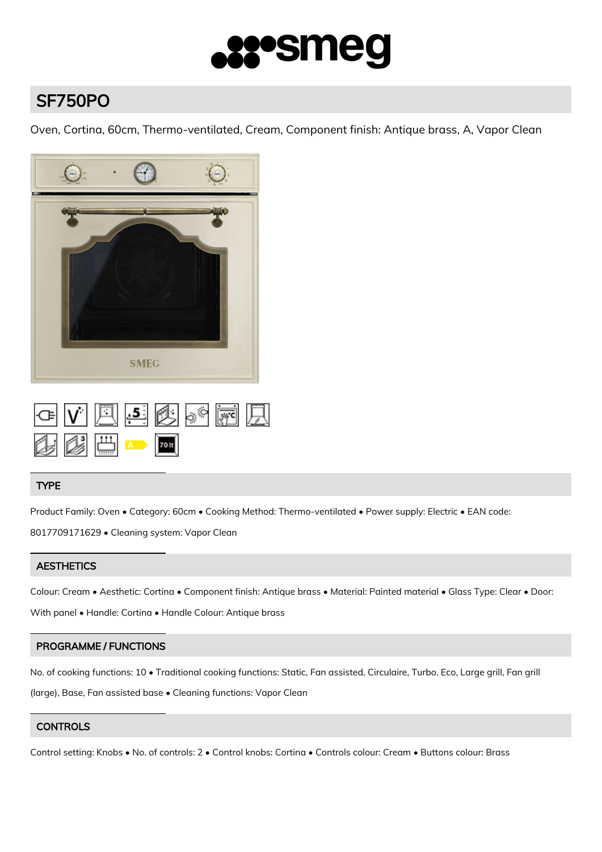

# SF750PO

Oven, Cortina, 60cm, Thermo-ventilated, Cream, Component finish: Antique brass, A, Vapor Clean



|  | GVESSSER                                                         |  |  |  |
|--|------------------------------------------------------------------|--|--|--|
|  | $\mathbb{Z}$ $\mathbb{Z}$ $\mathbb{Z}$ $\mathbb{Z}$ $\mathbb{Z}$ |  |  |  |

# TYPE

Product Family: Oven • Category: 60cm • Cooking Method: Thermo-ventilated • Power supply: Electric • EAN code: 8017709171629 • Cleaning system: Vapor Clean

# **AESTHETICS**

Colour: Cream • Aesthetic: Cortina • Component finish: Antique brass • Material: Painted material • Glass Type: Clear • Door: With panel • Handle: Cortina • Handle Colour: Antique brass

# PROGRAMME / FUNCTIONS

No. of cooking functions: 10 • Traditional cooking functions: Static, Fan assisted, Circulaire, Turbo, Eco, Large grill, Fan grill (large), Base, Fan assisted base • Cleaning functions: Vapor Clean

# **CONTROLS**

Control setting: Knobs • No. of controls: 2 • Control knobs: Cortina • Controls colour: Cream • Buttons colour: Brass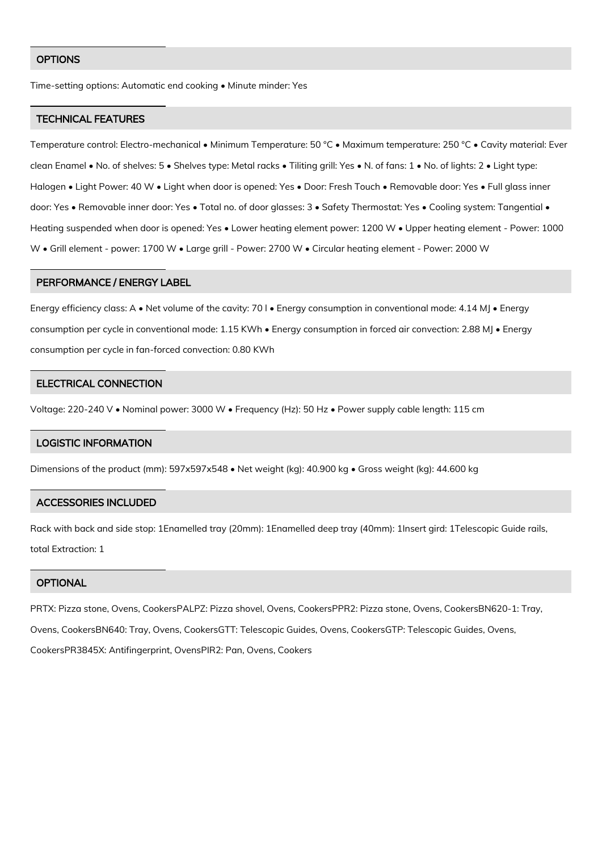#### **OPTIONS**

Time-setting options: Automatic end cooking • Minute minder: Yes

#### TECHNICAL FEATURES

Temperature control: Electro-mechanical • Minimum Temperature: 50 °C • Maximum temperature: 250 °C • Cavity material: Ever clean Enamel • No. of shelves: 5 • Shelves type: Metal racks • Tiliting grill: Yes • N. of fans: 1 • No. of lights: 2 • Light type: Halogen • Light Power: 40 W • Light when door is opened: Yes • Door: Fresh Touch • Removable door: Yes • Full glass inner door: Yes • Removable inner door: Yes • Total no. of door glasses: 3 • Safety Thermostat: Yes • Cooling system: Tangential • Heating suspended when door is opened: Yes • Lower heating element power: 1200 W • Upper heating element - Power: 1000 W • Grill element - power: 1700 W • Large grill - Power: 2700 W • Circular heating element - Power: 2000 W

#### PERFORMANCE / ENERGY LABEL

Energy efficiency class: A • Net volume of the cavity: 70 l • Energy consumption in conventional mode: 4.14 MJ • Energy consumption per cycle in conventional mode: 1.15 KWh • Energy consumption in forced air convection: 2.88 MJ • Energy consumption per cycle in fan-forced convection: 0.80 KWh

#### ELECTRICAL CONNECTION

Voltage: 220-240 V • Nominal power: 3000 W • Frequency (Hz): 50 Hz • Power supply cable length: 115 cm

#### LOGISTIC INFORMATION

Dimensions of the product (mm): 597x597x548 • Net weight (kg): 40.900 kg • Gross weight (kg): 44.600 kg

#### ACCESSORIES INCLUDED

Rack with back and side stop: 1Enamelled tray (20mm): 1Enamelled deep tray (40mm): 1Insert gird: 1Telescopic Guide rails, total Extraction: 1

#### **OPTIONAL**

PRTX: Pizza stone, Ovens, CookersPALPZ: Pizza shovel, Ovens, CookersPPR2: Pizza stone, Ovens, CookersBN620-1: Tray, Ovens, CookersBN640: Tray, Ovens, CookersGTT: Telescopic Guides, Ovens, CookersGTP: Telescopic Guides, Ovens, CookersPR3845X: Antifingerprint, OvensPIR2: Pan, Ovens, Cookers